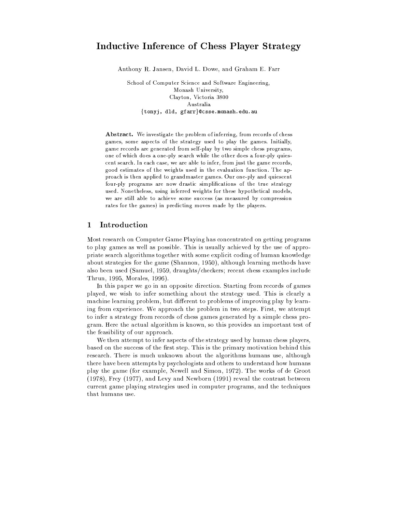# Inductive Inference of Chess Player Strategy

Anthony R. Jansen, David L. Dowe, and Graham E. Farr

School of Computer Science and Software Engineering, Monash University. Clavton, Victoria 3800 Australia {tonyj, dld, gfarr}@csse.monash.edu.au

Abstract. We investigate the problem of inferring, from records of chess games, some aspects of the strategy used to play the games. Initially, game records are generated from self-play by two simple chess programs. one of which does a one-ply search while the other does a four-ply quiescent search. In each case, we are able to infer, from just the game records, good estimates of the weights used in the evaluation function. The approach is then applied to grandmaster games. Our one-ply and quiescent four-ply programs are now drastic simplifications of the true strategy used. Nonetheless, using inferred weights for these hypothetical models, we are still able to achieve some success (as measured by compression rates for the games) in predicting moves made by the players.

#### Introduction  $\mathbf 1$

Most research on Computer Game Playing has concentrated on getting programs to play games as well as possible. This is usually achieved by the use of appropriate search algorithms together with some explicit coding of human knowledge about strategies for the game (Shannon, 1950), although learning methods have also been used (Samuel, 1959, draughts/checkers; recent chess examples include Thrun, 1995, Morales, 1996).

In this paper we go in an opposite direction. Starting from records of games played, we wish to infer something about the strategy used. This is clearly a machine learning problem, but different to problems of improving play by learning from experience. We approach the problem in two steps. First, we attempt to infer a strategy from records of chess games generated by a simple chess program. Here the actual algorithm is known, so this provides an important test of the feasibility of our approach.

We then attempt to infer aspects of the strategy used by human chess players, based on the success of the first step. This is the primary motivation behind this research. There is much unknown about the algorithms humans use, although there have been attempts by psychologists and others to understand how humans play the game (for example, Newell and Simon, 1972). The works of de Groot (1978). Frey (1977), and Levy and Newborn (1991) reveal the contrast between current game playing strategies used in computer programs, and the techniques that humans use.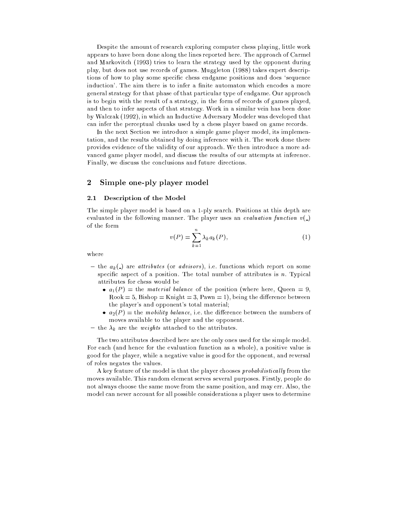Despite the amount of research exploring computer chess playing, little work appears to have been done along the lines reported here. The approach of Carmel and Markovitch (1993) tries to learn the strategy used by the opponent during play, but does not use records of games. Muggleton (1988) takes expert descriptions of how to play some specific chess endgame positions and does 'sequence induction'. The aim there is to infer a finite automaton which encodes a more general strategy for that phase of that particular type of endgame. Our approach is to begin with the result of a strategy, in the form of records of games played, and then to infer aspects of that strategy. Work in a similar vein has been done by Walczak (1992), in which an Inductive Adversary Modeler was developed that can infer the perceptual chunks used by a chess player based on game records.

In the next Section we introduce a simple game player model, its implementation, and the results obtained by doing inference with it. The work done there provides evidence of the validity of our approach. We then introduce a more advanced game player model, and discuss the results of our attempts at inference. Finally, we discuss the conclusions and future directions.

#### $\overline{2}$ Simple one-ply player model

#### $2.1$ Description of the Model

The simple player model is based on a 1-ply search. Positions at this depth are evaluated in the following manner. The player uses an *evaluation function*  $v($ of the form

$$
v(P) = \sum_{k=1}^{n} \lambda_k a_k(P), \qquad (1)
$$

where

- the  $a_k$ (-) are *attributes* (or *advisors*), i.e. functions which report on some specific aspect of a position. The total number of attributes is  $n$ . Typical attributes for chess would be
	- $a_1(P) =$  the material balance of the position (where here, Queen = 9.  $Root = 5$ , Bishop = Knight = 3, Pawn = 1), being the difference between the player's and opponent's total material;
	- $a_2(P)$  = the mobility balance, i.e. the difference between the numbers of moves available to the player and the opponent.
- the  $\lambda_k$  are the *weights* attached to the attributes.

The two attributes described here are the only ones used for the simple model. For each (and hence for the evaluation function as a whole), a positive value is good for the player, while a negative value is good for the opponent, and reversal of roles negates the values.

A key feature of the model is that the player chooses *probabilistically* from the moves available. This random element serves several purposes. Firstly, people do not always choose the same move from the same position, and may err. Also, the model can never account for all possible considerations a player uses to determine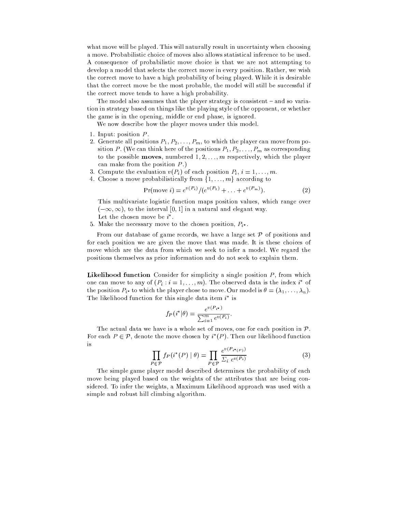what move will be played. This will naturally result in uncertainty when choosing a move. Probabilistic choice of moves also allows statistical inference to be used. A consequence of probabilistic move choice is that we are not attempting to develop a model that selects the correct move in every position. Rather, we wish the correct move to have a high probability of being played. While it is desirable that the correct move be the most probable, the model will still be successful if the correct move tends to have a high probability.

The model also assumes that the player strategy is consistent  $-$  and so variation in strategy based on things like the playing style of the opponent, or whether the game is in the opening, middle or end phase, is ignored.

We now describe how the player moves under this model.

- 1. Input: position  $P$ .
- 2. Generate all positions  $P_1, P_2, \ldots, P_m$ , to which the player can move from position P. (We can think here of the positions  $P_1, P_2, \ldots, P_m$  as corresponding to the possible **moves**, numbered  $1, 2, \ldots, m$  respectively, which the player can make from the position  $P$ .)
- 3. Compute the evaluation  $v(P_i)$  of each position  $P_i$ ,  $i = 1, \ldots, m$ .
- 4. Choose a move probabilistically from  $\{1, \ldots, m\}$  according to

$$
Pr(move i) = e^{v(P_i)} / (e^{v(P_1)} + \ldots + e^{v(P_m)}).
$$
\n(2)

This multivariate logistic function maps position values, which range over  $(-\infty, \infty)$ , to the interval [0, 1] in a natural and elegant way. Let the chosen move be  $i^*$ .

5. Make the necessary move to the chosen position,  $P_{i^*}$ .

From our database of game records, we have a large set  $P$  of positions and for each position we are given the move that was made. It is these choices of move which are the data from which we seek to infer a model. We regard the positions themselves as prior information and do not seek to explain them.

**Likelihood function** Consider for simplicity a single position  $P$ , from which one can move to any of  $(P_i : i = 1, ..., m)$ . The observed data is the index i<sup>\*</sup> of the position  $P_{i^*}$  to which the player chose to move. Our model is  $\theta = (\lambda_1, \ldots, \lambda_n)$ . The likelihood function for this single data item  $i^*$  is

$$
f_P(i^*|\theta) = \frac{e^{v(P_{i^*})}}{\sum_{i=1}^m e^{v(P_i)}}
$$

The actual data we have is a whole set of moves, one for each position in  $\mathcal{P}$ . For each  $P \in \mathcal{P}$ , denote the move chosen by  $i^*(P)$ . Then our likelihood function is

$$
\prod_{P \in \mathcal{P}} f_P(i^*(P) \mid \theta) = \prod_{P \in \mathcal{P}} \frac{e^{v(P_{i^*(P)})}}{\sum_i e^{v(P_i)}} \tag{3}
$$

The simple game player model described determines the probability of each move being played based on the weights of the attributes that are being considered. To infer the weights, a Maximum Likelihood approach was used with a simple and robust hill climbing algorithm.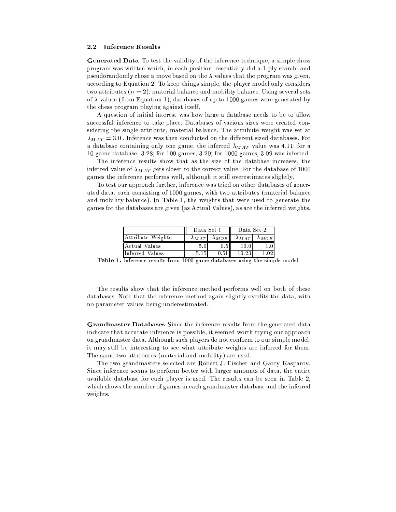#### **Inference Results**  $2.2\,$

**Generated Data** To test the validity of the inference technique, a simple chess program was written which, in each position, essentially did a 1-ply search, and pseudorandomly chose a move based on the  $\lambda$  values that the program was given. according to Equation 2. To keep things simple, the player model only considers two attributes  $(n = 2)$ : material balance and mobility balance. Using several sets of  $\lambda$  values (from Equation 1), databases of up to 1000 games were generated by the chess program playing against itself.

A question of initial interest was how large a database needs to be to allow successful inference to take place. Databases of various sizes were created considering the single attribute, material balance. The attribute weight was set at  $\lambda_{MAT} = 3.0$ . Inference was then conducted on the different sized databases. For a database containing only one game, the inferred  $\lambda_{MAT}$  value was 4.11; for a 10 game database, 3.28; for 100 games, 3.20; for 1000 games, 3.09 was inferred.

The inference results show that as the size of the database increases, the inferred value of  $\lambda_{MAT}$  gets closer to the correct value. For the database of 1000 games the inference performs well, although it still overestimates slightly.

To test our approach further, inference was tried on other databases of generated data, each consisting of 1000 games, with two attributes (material balance and mobility balance). In Table 1, the weights that were used to generate the games for the databases are given (as Actual Values), as are the inferred weights.

|                   |      | Data Set 1                                                      | Data Set 2 |  |  |
|-------------------|------|-----------------------------------------------------------------|------------|--|--|
| Attribute Weights |      | $\lambda_{MAT}$ $\lambda_{MOB}$ $\lambda_{MAT}$ $\lambda_{MOB}$ |            |  |  |
| Actual Values     |      | 0.5"                                                            | 10.0       |  |  |
| Inferred Values   | 5.15 | 0.51                                                            | 10.23      |  |  |

**Table 1.** Inference results from 1000 game databases using the simple model.

The results show that the inference method performs well on both of these databases. Note that the inference method again slightly overfits the data, with no parameter values being underestimated.

Grandmaster Databases Since the inference results from the generated data indicate that accurate inference is possible, it seemed worth trying our approach on grandmaster data. Although such players do not conform to our simple model, it may still be interesting to see what attribute weights are inferred for them. The same two attributes (material and mobility) are used.

The two grandmasters selected are Robert J. Fischer and Garry Kasparov. Since inference seems to perform better with larger amounts of data, the entire available database for each player is used. The results can be seen in Table 2. which shows the number of games in each grandmaster database and the inferred weights.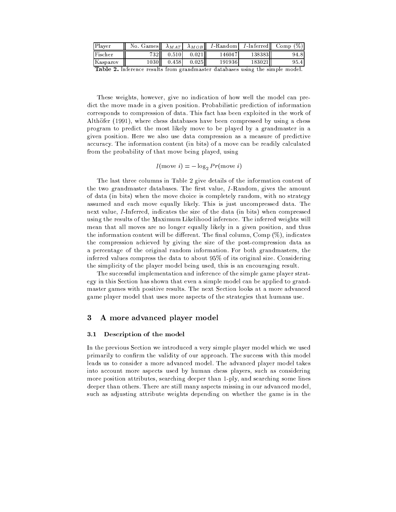| Player   | No. Games | $\lambda_{MAT}$ | $\lambda_{MOB}$ | I-Randoml |         | <i>I</i> -Inferred Comp $(\%)$ |
|----------|-----------|-----------------|-----------------|-----------|---------|--------------------------------|
| Fischer  | 732II     | 0.510           | 0.021           | 146047    | 1383831 | 94.81                          |
| Kasparov | 1030H     | 0.458           | 0.025           | 191936    | 183021h | 95.41                          |

Table 2. Inference results from grandmaster databases using the simple model.

These weights, however, give no indication of how well the model can predict the move made in a given position. Probabilistic prediction of information corresponds to compression of data. This fact has been exploited in the work of Althöfer (1991), where chess databases have been compressed by using a chess program to predict the most likely move to be played by a grandmaster in a given position. Here we also use data compression as a measure of predictive accuracy. The information content (in bits) of a move can be readily calculated from the probability of that move being played, using

$$
I(\text{move }i) = -\log_2 Pr(\text{move }i)
$$

The last three columns in Table 2 give details of the information content of the two grandmaster databases. The first value, I-Random, gives the amount of data (in bits) when the move choice is completely random, with no strategy assumed and each move equally likely. This is just uncompressed data. The next value, *I*-Inferred, indicates the size of the data (in bits) when compressed using the results of the Maximum Likelihood inference. The inferred weights will mean that all moves are no longer equally likely in a given position, and thus the information content will be different. The final column, Comp  $(\%)$ , indicates the compression achieved by giving the size of the post-compression data as a percentage of the original random information. For both grandmasters, the inferred values compress the data to about 95% of its original size. Considering the simplicity of the player model being used, this is an encouraging result.

The successful implementation and inference of the simple game player strategy in this Section has shown that even a simple model can be applied to grandmaster games with positive results. The next Section looks at a more advanced game player model that uses more aspects of the strategies that humans use.

#### A more advanced player model 3

#### $3.1$ Description of the model

In the previous Section we introduced a very simple player model which we used primarily to confirm the validity of our approach. The success with this model leads us to consider a more advanced model. The advanced player model takes into account more aspects used by human chess players, such as considering more position attributes, searching deeper than 1-ply, and searching some lines deeper than others. There are still many aspects missing in our advanced model, such as adjusting attribute weights depending on whether the game is in the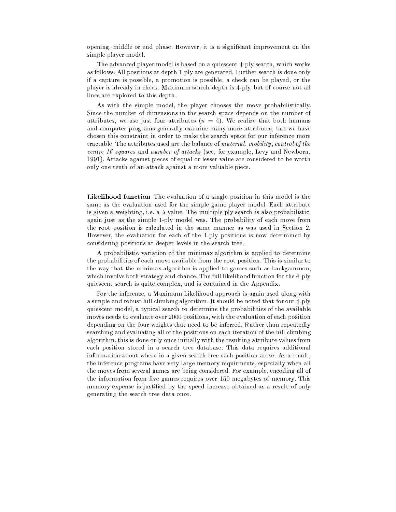opening, middle or end phase. However, it is a significant improvement on the simple player model.

The advanced player model is based on a quiescent 4-ply search, which works as follows. All positions at depth 1-ply are generated. Further search is done only if a capture is possible, a promotion is possible, a check can be played, or the player is already in check. Maximum search depth is 4-ply, but of course not all lines are explored to this depth.

As with the simple model, the player chooses the move probabilistically. Since the number of dimensions in the search space depends on the number of attributes, we use just four attributes  $(n = 4)$ . We realize that both humans and computer programs generally examine many more attributes, but we have chosen this constraint in order to make the search space for our inference more tractable. The attributes used are the balance of material, mobility, control of the centre 16 squares and number of attacks (see, for example, Levy and Newborn, 1991). Attacks against pieces of equal or lesser value are considered to be worth only one tenth of an attack against a more valuable piece.

**Likelihood function** The evaluation of a single position in this model is the same as the evaluation used for the simple game player model. Each attribute is given a weighting, i.e. a  $\lambda$  value. The multiple ply search is also probabilistic, again just as the simple 1-ply model was. The probability of each move from the root position is calculated in the same manner as was used in Section 2. However, the evaluation for each of the 1-ply positions is now determined by considering positions at deeper levels in the search tree.

A probabilistic variation of the minimax algorithm is applied to determine the probabilities of each move available from the root position. This is similar to the way that the minimax algorithm is applied to games such as backgammon, which involve both strategy and chance. The full likelihood function for the 4-ply quiescent search is quite complex, and is contained in the Appendix.

For the inference, a Maximum Likelihood approach is again used along with a simple and robust hill climbing algorithm. It should be noted that for our 4-ply quiescent model, a typical search to determine the probabilities of the available moves needs to evaluate over 2000 positions, with the evaluation of each position depending on the four weights that need to be inferred. Rather than repeatedly searching and evaluating all of the positions on each iteration of the hill climbing algorithm, this is done only once initially with the resulting attribute values from each position stored in a search tree database. This data requires additional information about where in a given search tree each position arose. As a result, the inference programs have very large memory requirments, especially when all the moves from several games are being considered. For example, encoding all of the information from five games requires over 150 megabytes of memory. This memory expense is justified by the speed increase obtained as a result of only generating the search tree data once.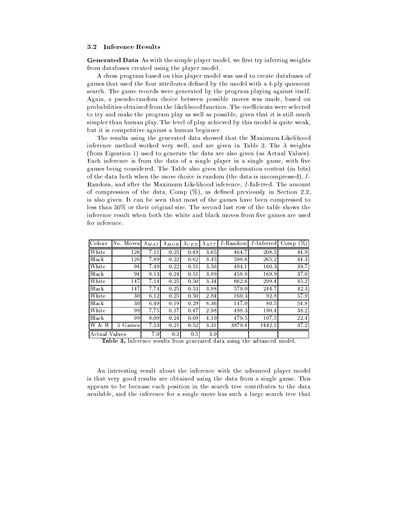#### 3.2 **Inference Results**

**Generated Data** As with the simple player model, we first try inferring weights from databases created using the player model.

A chess program based on this player model was used to create databases of games that used the four attributes defined by the model with a 4-ply quiescent search. The game records were generated by the program playing against itself. Again, a pseudo-random choice between possible moves was made, based on probabilities obtained from the likelihood function. The coefficients were selected to try and make the program play as well as possible, given that it is still much simpler than human play. The level of play achieved by this model is quite weak, but it is competitive against a human beginner.

The results using the generated data showed that the Maximum Likelihood inference method worked very well, and are given in Table 3. The  $\lambda$  weights (from Equation 1) used to generate the data are also given (as Actual Values). Each inference is from the data of a single player in a single game, with five games being considered. The Table also gives the information content (in bits) of the data both when the move choice is random (the data is uncompressed), I-Random, and after the Maximum Likelihood inference, *I*-Inferred. The amount of compression of the data, Comp  $(\%)$ , as defined previously in Section 2.2, is also given. It can be seen that most of the games have been compressed to less than 50% or their original size. The second last row of the table shows the inference result when both the white and black moves from five games are used for inference.

| Colour        | No. Moves | $\lambda_{MAT}$ | $\lambda_{MOB}$ | $\lambda$ CEN | $\lambda_{ATT}$ | $I$ -Random | <i>I</i> -Inferred | $(\%)$<br>Comp |
|---------------|-----------|-----------------|-----------------|---------------|-----------------|-------------|--------------------|----------------|
| White         | 126       | 7.11            | 0.25            | 0.49          | 3.65            | 464.7       | 208.5              | 44.9           |
| <b>Black</b>  | 126       | 7.89            | 0.22            | 0.62          | 3.45            | 598.6       | 265.2              | 44.3           |
| White         | 94        | 7.49            | 0.22            | 0.51          | 3.56            | 404.1       | 160.3              | 39.7           |
| Black         | 94        | 8.13            | 0.24            | 0.51          | 3.89            | 458.8       | 169.9              | 37.0           |
| White         | 147       | 7.14            | 0.25            | 0.50          | 3.34            | 662.6       | 299.4              | 45.2           |
| <b>Black</b>  | 147       | 7.74            | 0.25            | 0.53          | 3.88            | 579.0       | 244.7              | 42.3           |
| White         | 30        | 6.12            | 0.25            | 0.50          | 2.84            | 160.3       | 92.8               | 57.9           |
| <b>Black</b>  | 30        | 6.49            | 0.19            | 0.29          | 8.36            | 147.0       | 80.5               | 54.8           |
| White         | 99        | 7.75            | 0.17            | 0.47          | 2.98            | 498.3       | 190.4              | 38.2           |
| <b>Black</b>  | 99        | 8.09            | 0.24            | 0.69          | 4.10            | 479.5       | 107.5              | 22.4           |
| W & B         | 5 Games   | 7.53            | 0.21            | 0.52          | 3.31            | 3879.4      | 1442.1             | 37.2           |
| Actual Values | . .       | 7.0             | 0.2             | 0.5           | 3.0             |             |                    | $\sim$ $\sim$  |

Table 3. Inference results from generated data using the advanced model.

An interesting result about the inference with the advanced player model is that very good results are obtained using the data from a single game. This appears to be because each position in the search tree contributes to the data available, and the inference for a single move has such a large search tree that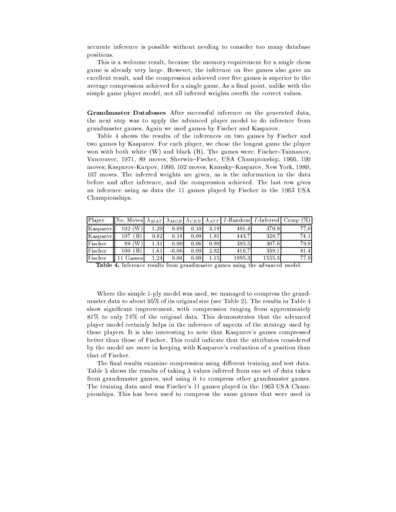accurate inference is possible without needing to consider too many database positions.

This is a welcome result, because the memory requirement for a single chess game is already very large. However, the inference on five games also gave an excellent result, and the compression achieved over five games is superior to the average compression achieved for a single game. As a final point, unlike with the simple game player model, not all inferred weights overfit the correct values.

Grandmaster Databases After successful inference on the generated data, the next step was to apply the advanced player model to do inference from grandmaster games. Again we used games by Fischer and Kasparov.

Table 4 shows the results of the inferences on two games by Fischer and two games by Kasparov. For each player, we chose the longest game the player won with both white  $(W)$  and black  $(B)$ . The games were: Fischer-Taimanov. Vancouver, 1971, 89 moves; Sherwin-Fischer, USA Championship, 1966, 100 moves; Kasparov-Karpov, 1990, 102 moves; Kamsky-Kasparov, New York, 1989, 107 moves. The inferred weights are given, as is the information in the data before and after inference, and the compression achieved. The last row gives an inference using as data the 11 games played by Fischer in the 1963 USA Championships.

| Player   | No. Moves  | $\lambda_{MAT}$ |         | $\lambda_{MOB}$ $\lambda_{CEN}$ |      | $\lambda_{ATT}$ I-Random I-Inferred Comp (%) |        |      |
|----------|------------|-----------------|---------|---------------------------------|------|----------------------------------------------|--------|------|
| Kasparov | 102 (W     | 1.20            | 0.09    | 0.10                            | 3.19 | 481.4                                        | 370.8  | 77.0 |
| Kasparov | B<br>107   | 0.82            | 0.18    | 0.09                            | 1.81 | 443.7                                        | 328.7  | 74.1 |
| Fischer  | 89 (W      | 1.31            | 0.001   | 0.06                            | 0.89 | 385.5                                        | 307.6  | 79.8 |
| Fischer  | B.<br>100. | 1.61            | $-0.06$ | 0.09                            | 2.82 | 416.7                                        | 339.1  | 81.4 |
| Fischer  | Games      | 1.24            | 0.04    | 0.09                            | 1.15 | 1995.3                                       | 1555.3 | 77.9 |

Table 4. Inference results from grandmaster games using the advanced model.

Where the simple 1-ply model was used, we managed to compress the grandmaster data to about 95% of its original size (see Table 2). The results in Table 4 show significant improvement, with compression ranging from approximately 81% to only 74% of the original data. This demonstrates that the advanced player model certainly helps in the inference of aspects of the strategy used by these players. It is also interesting to note that Kasparov's games compressed better than those of Fischer. This could indicate that the attributes considered by the model are more in keeping with Kasparov's evaluation of a position than that of Fischer.

The final results examine compression using different training and test data. Table 5 shows the results of taking  $\lambda$  values inferred from one set of data taken from grandmaster games, and using it to compress other grandmaster games. The training data used was Fischer's 11 games played in the 1963 USA Championships. This has been used to compress the same games that were used in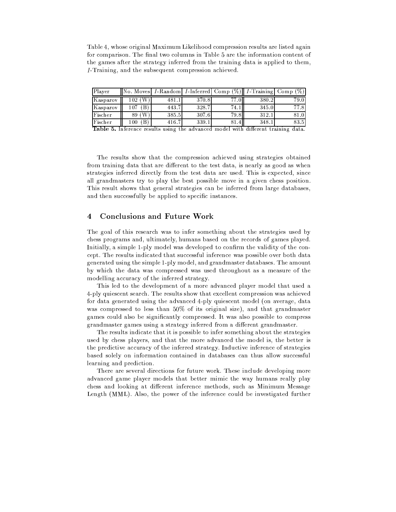Table 4, whose original Maximum Likelihood compression results are listed again for comparison. The final two columns in Table 5 are the information content of the games after the strategy inferred from the training data is applied to them, I-Training, and the subsequent compression achieved.

| Player   | Moves   | <i>I</i> -Random | <i>I</i> -Inferred | $\%$<br>Comp | <i>I</i> -Training | %<br>Jomp |
|----------|---------|------------------|--------------------|--------------|--------------------|-----------|
| Kasparov | W<br>02 | 481              | 370.8              | 77.OI        | 380.2              | 79.0      |
| Kasparov | 07      | 443.7            | 328.7              | -74. .       | 345.0              | 77.8      |
| Fischer  | W<br>89 | 385.5            | 307.6              | 79.81        | 312.               | $^{81.0}$ |
| Fischer  | 00      | 416.7            | 339.               |              | 348.               | 83.5      |

Table 5. Inference results using the advanced model with different training data.

The results show that the compression achieved using strategies obtained from training data that are different to the test data, is nearly as good as when strategies inferred directly from the test data are used. This is expected, since all grandmasters try to play the best possible move in a given chess position. This result shows that general strategies can be inferred from large databases, and then successfully be applied to specific instances.

#### **Conclusions and Future Work**  $\overline{\mathbf{4}}$

The goal of this research was to infer something about the strategies used by chess programs and, ultimately, humans based on the records of games played. Initially, a simple 1-ply model was developed to confirm the validity of the concept. The results indicated that successful inference was possible over both data generated using the simple 1-ply model, and grandmaster databases. The amount by which the data was compressed was used throughout as a measure of the modelling accuracy of the inferred strategy.

This led to the development of a more advanced player model that used a 4-ply quiescent search. The results show that excellent compression was achieved for data generated using the advanced 4-ply quiescent model (on average, data was compressed to less than 50% of its original size), and that grandmaster games could also be significantly compressed. It was also possible to compress grandmaster games using a strategy inferred from a different grandmaster.

The results indicate that it is possible to infer something about the strategies used by chess players, and that the more advanced the model is, the better is the predictive accuracy of the inferred strategy. Inductive inference of strategies based solely on information contained in databases can thus allow successful learning and prediction.

There are several directions for future work. These include developing more advanced game player models that better mimic the way humans really play chess and looking at different inference methods, such as Minimum Message Length (MML). Also, the power of the inference could be investigated further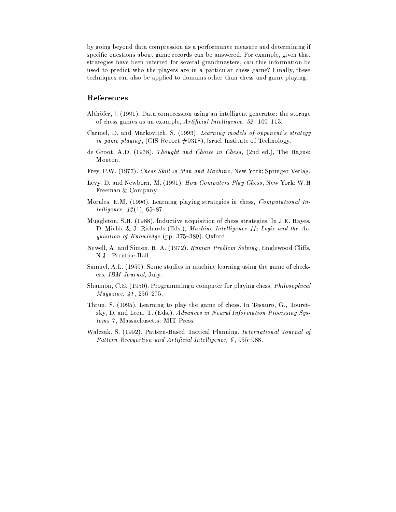by going beyond data compression as a performance measure and determining if specific questions about game records can be answered. For example, given that strategies have been inferred for several grandmasters, can this information be used to predict who the players are in a particular chess game? Finally, these techniques can also be applied to domains other than chess and game playing.

### References

- Althöfer, I. (1991). Data compression using an intelligent generator: the storage of chess games as an example, Artificial Intelligence, 52, 109-113.
- Carmel, D. and Markovitch, S. (1993). Learning models of opponent's strategy in game playing, (CIS Report #9318), Israel Institute of Technology.
- de Groot, A.D. (1978). Thought and Choice in Chess, (2nd ed.), The Hague: Mouton.
- Frey, P.W. (1977). Chess Skill in Man and Machine, New York: Springer-Verlag.
- Levy, D. and Newborn, M. (1991). How Computers Play Chess, New York: W.H Freeman & Company.
- Morales, E.M. (1996). Learning playing strategies in chess, Computational In*telligence*,  $12(1)$ , 65-87.
- Muggleton, S.H. (1988). Inductive acquisition of chess strategies. In J.E. Hayes, D. Michie & J. Richards (Eds.), Machine Intelligence 11: Logic and the Acquisition of Knowledge (pp. 375–389). Oxford.
- Newell, A. and Simon, H. A. (1972). Human Problem Solving, Englewood Cliffs. N.J.: Prentice-Hall.
- Samuel, A.L. (1959). Some studies in machine learning using the game of checkers, IBM Journal, July.
- Shannon, C.E. (1950). Programming a computer for playing chess, *Philosophical*  $Magazine, 41, 256-275.$
- Thrun, S. (1995). Learning to play the game of chess. In Tesauro, G., Touretzky, D. and Leen, T. (Eds.), Advances in Neural Information Processing Systems 7, Massachusetts: MIT Press.
- Walczak, S. (1992). Pattern-Based Tactical Planning. International Journal of Pattern Recognition and Artificial Intelligence, 6, 955-988.